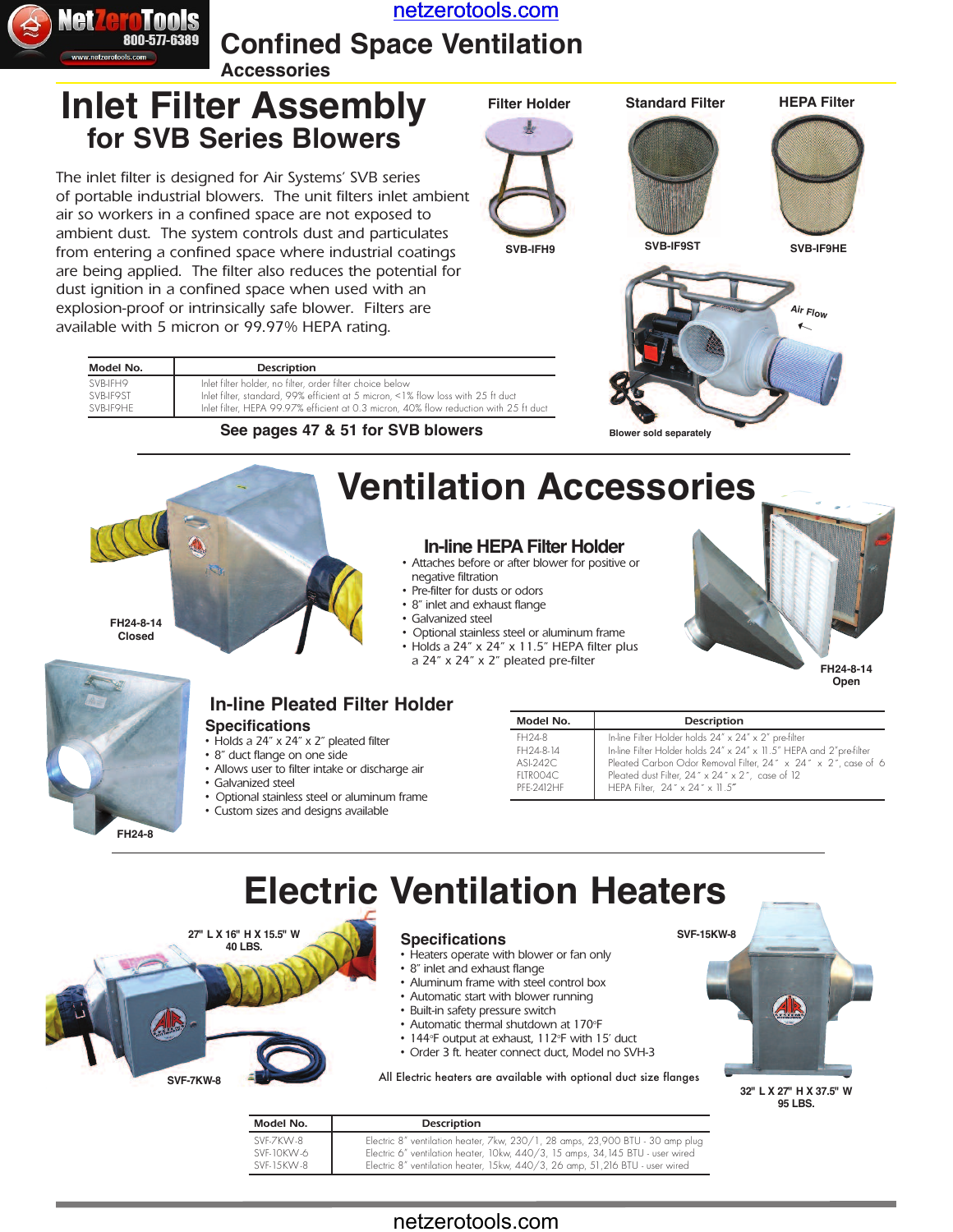

[netzerotools.com](http://www.netzerotools.com)

**Confined Space Ventilation**

#### **Accessories**

## **Inlet Filter Assembly for SVB Series Blowers**

The inlet filter is designed for Air Systems' SVB series of portable industrial blowers. The unit filters inlet ambient air so workers in a confined space are not exposed to ambient dust. The system controls dust and particulates from entering a confined space where industrial coatings are being applied. The filter also reduces the potential for dust ignition in a confined space when used with an explosion-proof or intrinsically safe blower. Filters are available with 5 micron or 99.97% HEPA rating.











| Model No. | Description                                                                           |
|-----------|---------------------------------------------------------------------------------------|
| SVB-IFH9  | Inlet filter holder, no filter, order filter choice below                             |
| SVB-IF9ST | Inlet filter, standard, 99% efficient at 5 micron, <1% flow loss with 25 ft duct      |
| SVB-IF9HF | Inlet filter, HEPA 99.97% efficient at 0.3 micron, 40% flow reduction with 25 ft duct |

#### **See pages 47 & 51 for SVB blowers**



#### **In-line HEPA Filter Holder**

- Attaches before or after blower for positive or negative filtration
- Pre-filter for dusts or odors
- 8" inlet and exhaust flange
- Galvanized steel
- Optional stainless steel or aluminum frame
- Holds a 24" x 24" x 11.5" HEPA filter plus a 24" x 24" x 2" pleated pre-filter **FH24-8-14**

**Open**



**FH24-8-14 Closed**

#### **Specifications In-line Pleated Filter Holder**

- Holds a 24" x 24" x 2" pleated filter
- 8" duct flange on one side
- Allows user to filter intake or discharge air
- Galvanized steel
- Optional stainless steel or aluminum frame
- Custom sizes and designs available

| Model No.  | Description                                                         |
|------------|---------------------------------------------------------------------|
| FH24-8     | In-line Filter Holder holds 24" x 24" x 2" pre-filter               |
| FH24-8-14  | In-line Filter Holder holds 24" x 24" x 11.5" HEPA and 2"pre-filter |
| ASL242C    | Pleated Carbon Odor Removal Filter, 24" x 24" x 2", case of 6       |
| FITROO4C   | Pleated dust Filter, 24" x 24" x 2", case of 12                     |
| PFF-2412HF | HEPA Filter, 24" x 24" x 11.5"                                      |

# **Electric Ventilation Heaters**



| Model No.  | Description                                                                    |
|------------|--------------------------------------------------------------------------------|
| SVF-7KW-8  | Electric 8" ventilation heater, 7kw, 230/1, 28 amps, 23,900 BTU - 30 amp plug  |
| SVF-10KW-6 | Electric 6" ventilation heater, 10kw, 440/3, 15 amps, 34, 145 BTU - user wired |
| SVF-15KW-8 | Electric 8" ventilation heater, 15kw, 440/3, 26 amp, 51, 216 BTU - user wired  |

### netzerotools.com